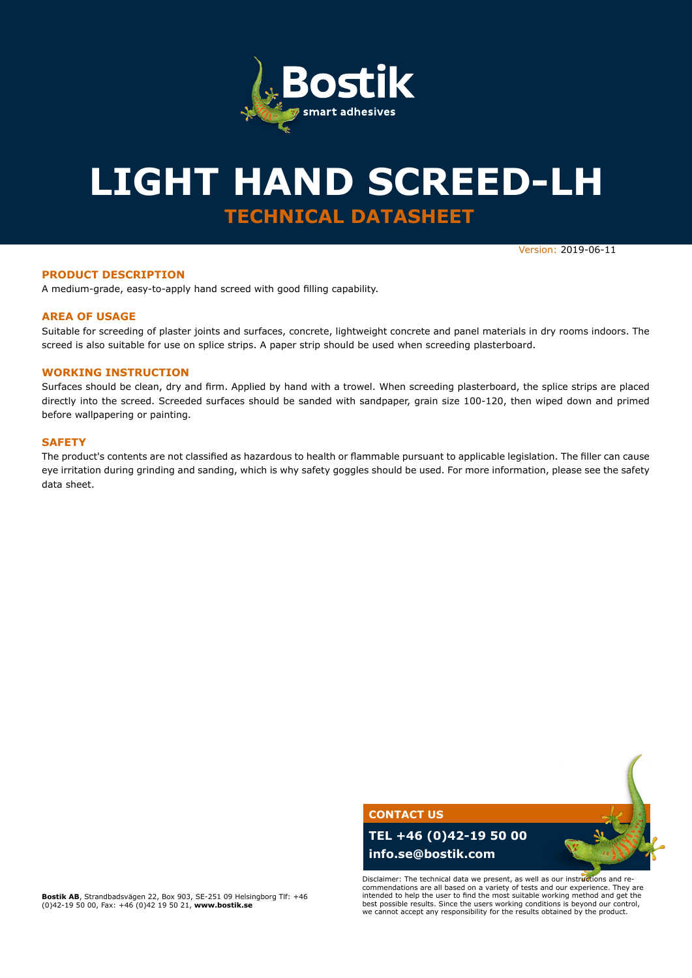

# **TECHNICAL DATASHEET LIGHT HAND SCREED-LH**

Version: 2019-06-11

### **PRODUCT DESCRIPTION**

A medium-grade, easy-to-apply hand screed with good filling capability.

#### **AREA OF USAGE**

Suitable for screeding of plaster joints and surfaces, concrete, lightweight concrete and panel materials in dry rooms indoors. The screed is also suitable for use on splice strips. A paper strip should be used when screeding plasterboard.

#### **WORKING INSTRUCTION**

Surfaces should be clean, dry and firm. Applied by hand with a trowel. When screeding plasterboard, the splice strips are placed directly into the screed. Screeded surfaces should be sanded with sandpaper, grain size 100-120, then wiped down and primed before wallpapering or painting.

#### **SAFETY**

The product's contents are not classified as hazardous to health or flammable pursuant to applicable legislation. The filler can cause eye irritation during grinding and sanding, which is why safety goggles should be used. For more information, please see the safety data sheet.

> **CONTACT US TEL +46 (0)42-19 50 00 info.se@bostik.com**

Disclaimer: The technical data we present, as well as our instructions and recommendations are all based on a variety of tests and our experience. They are intended to help the user to find the most suitable working method and get the best possible results. Since the users working conditions is beyond our control, we cannot accept any responsibility for the results obtained by the product.

**Bostik AB**, Strandbadsvägen 22, Box 903, SE-251 09 Helsingborg Tlf: +46 (0)42-19 50 00, Fax: +46 (0)42 19 50 21, **www.bostik.se**